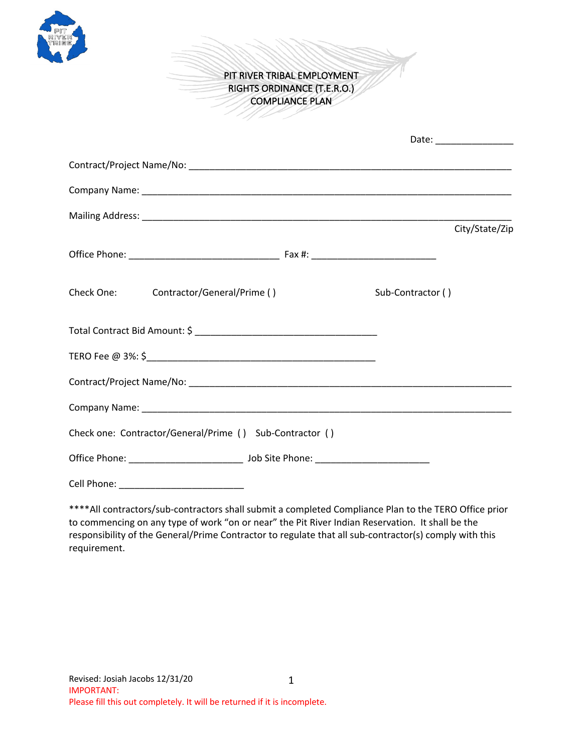

PIT RIVER TRIBAL EMPLOYMENT RIGHTS ORDINANCE (T.E.R.O.) COMPLIANCE PLAN

|                                                          |                   | City/State/Zip |
|----------------------------------------------------------|-------------------|----------------|
|                                                          |                   |                |
| Check One: Contractor/General/Prime ()                   | Sub-Contractor () |                |
|                                                          |                   |                |
|                                                          |                   |                |
|                                                          |                   |                |
|                                                          |                   |                |
| Check one: Contractor/General/Prime () Sub-Contractor () |                   |                |
|                                                          |                   |                |
|                                                          |                   |                |

\*\*\*\*All contractors/sub-contractors shall submit a completed Compliance Plan to the TERO Office prior to commencing on any type of work "on or near" the Pit River Indian Reservation. It shall be the responsibility of the General/Prime Contractor to regulate that all sub-contractor(s) comply with this requirement.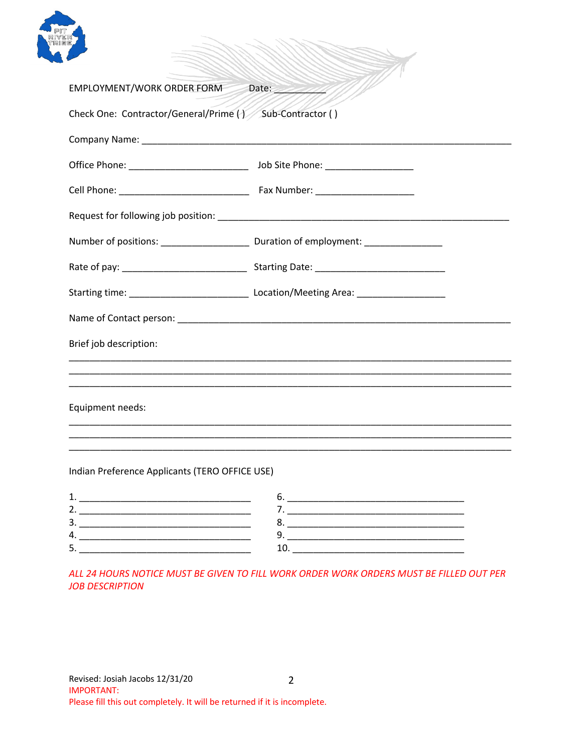

| EMPLOYMENT/WORK ORDER FORM Date:                         | M) |  |
|----------------------------------------------------------|----|--|
| Check One: Contractor/General/Prime () Sub-Contractor () |    |  |
|                                                          |    |  |
|                                                          |    |  |
|                                                          |    |  |
|                                                          |    |  |
|                                                          |    |  |
|                                                          |    |  |
|                                                          |    |  |
|                                                          |    |  |
| Brief job description:                                   |    |  |
|                                                          |    |  |
|                                                          |    |  |
| Equipment needs:                                         |    |  |
|                                                          |    |  |
|                                                          |    |  |

AMMA

HT-

## Indian Preference Applicants (TERO OFFICE USE)

| ∽ |  |
|---|--|
|   |  |
| ັ |  |

ALL 24 HOURS NOTICE MUST BE GIVEN TO FILL WORK ORDER WORK ORDERS MUST BE FILLED OUT PER **JOB DESCRIPTION**